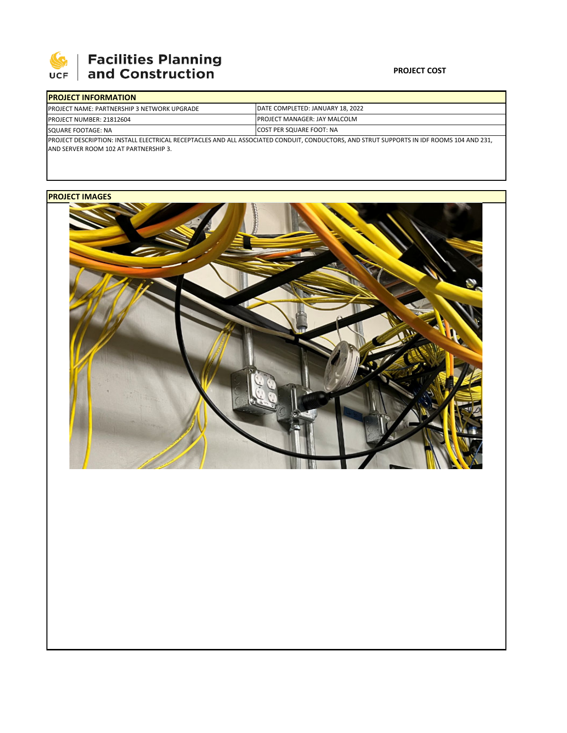

# **SEPTE AND Facilities Planning**<br>UCF and Construction

### **PROJECT COST**

| <b>IPROJECT INFORMATION</b>                        |                                                                                                                                           |  |  |  |  |
|----------------------------------------------------|-------------------------------------------------------------------------------------------------------------------------------------------|--|--|--|--|
| <b>PROJECT NAME: PARTNERSHIP 3 NETWORK UPGRADE</b> | DATE COMPLETED: JANUARY 18, 2022                                                                                                          |  |  |  |  |
| <b>PROJECT NUMBER: 21812604</b>                    | <b>IPROJECT MANAGER: JAY MALCOLM</b><br><b>ICOST PER SQUARE FOOT: NA</b>                                                                  |  |  |  |  |
| SQUARE FOOTAGE: NA                                 |                                                                                                                                           |  |  |  |  |
|                                                    | IPROJECT DESCRIPTION: INSTALL ELECTRICAL RECEPTACLES AND ALL ASSOCIATED CONDUIT. CONDUCTORS. AND STRUT SUPPORTS IN IDF ROOMS 104 AND 231. |  |  |  |  |

AND SERVER ROOM 102 AT PARTNERSHIP 3.

## **PROJECT IMAGES**